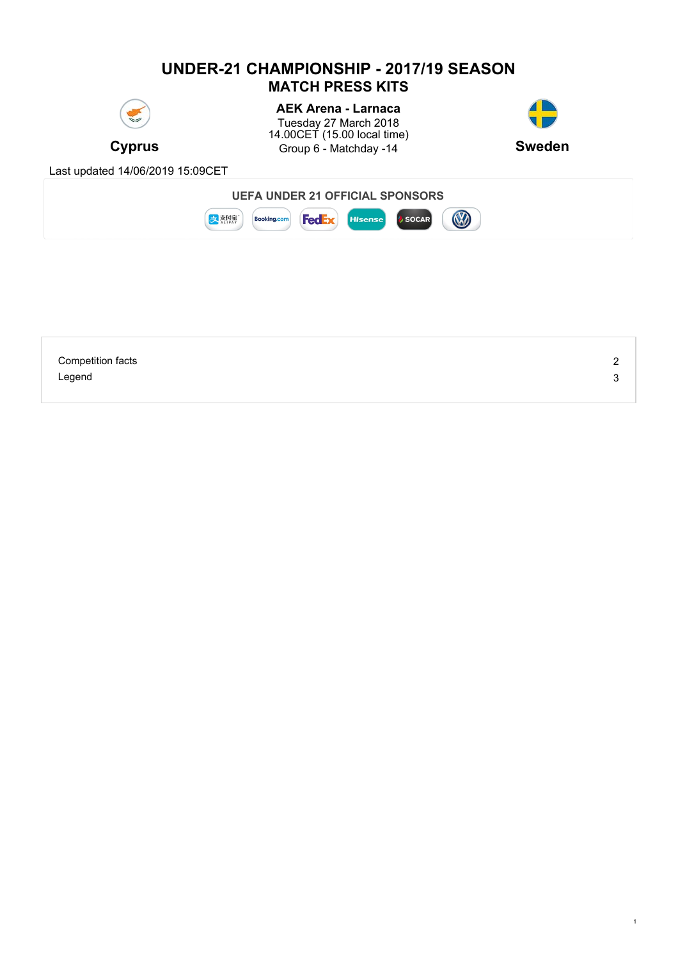# **UNDER-21 CHAMPIONSHIP - 2017/19 SEASON MATCH PRESS KITS**



**Cyprus Group 6 - Matchday -14 <b>Sweden AEK Arena - Larnaca** Tuesday 27 March 2018 14.00CET (15.00 local time)



1

Last updated 14/06/2019 15:09CET



| <b>Competition facts</b> | ⌒ |
|--------------------------|---|
| Legend                   |   |
|                          |   |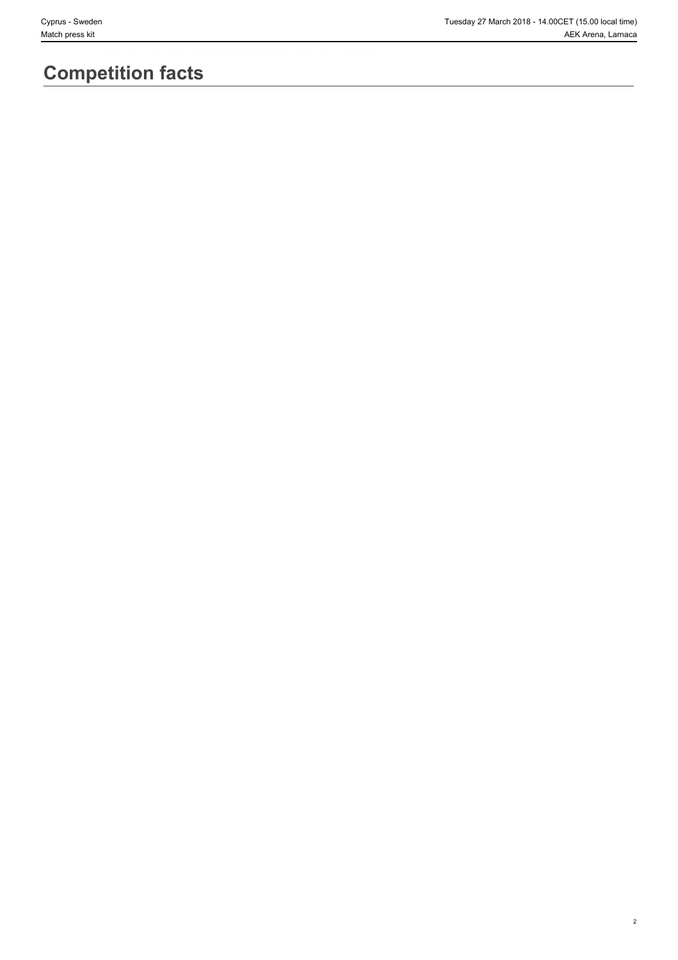2

# **Competition facts**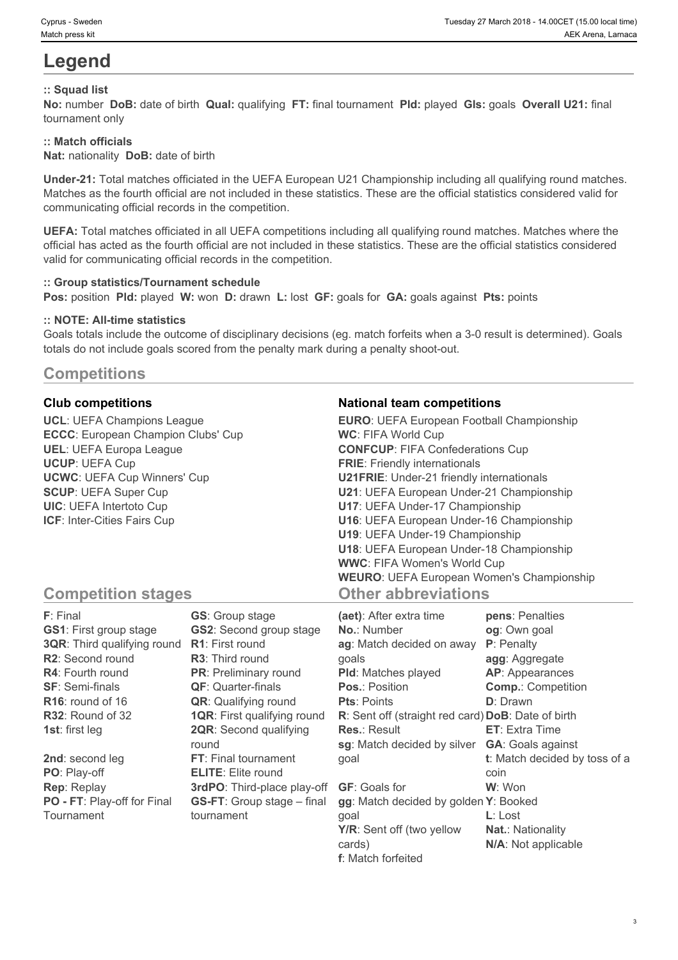# **Legend**

### **:: Squad list**

**No:** number **DoB:** date of birth **Qual:** qualifying **FT:** final tournament **Pld:** played **Gls:** goals **Overall U21:** final tournament only

#### **:: Match officials**

**Nat:** nationality **DoB:** date of birth

**Under-21:** Total matches officiated in the UEFA European U21 Championship including all qualifying round matches. Matches as the fourth official are not included in these statistics. These are the official statistics considered valid for communicating official records in the competition.

**UEFA:** Total matches officiated in all UEFA competitions including all qualifying round matches. Matches where the official has acted as the fourth official are not included in these statistics. These are the official statistics considered valid for communicating official records in the competition.

#### **:: Group statistics/Tournament schedule**

**Pos:** position **Pld:** played **W:** won **D:** drawn **L:** lost **GF:** goals for **GA:** goals against **Pts:** points

#### **:: NOTE: All-time statistics**

Goals totals include the outcome of disciplinary decisions (eg. match forfeits when a 3-0 result is determined). Goals totals do not include goals scored from the penalty mark during a penalty shoot-out.

# **Competitions**

**UCL**: UEFA Champions League **ECCC**: European Champion Clubs' Cup **UEL**: UEFA Europa League **UCUP**: UEFA Cup **UCWC**: UEFA Cup Winners' Cup **SCUP**: UEFA Super Cup **UIC**: UEFA Intertoto Cup **ICF**: Inter-Cities Fairs Cup

### **Club competitions National team competitions**

| <b>EURO:</b> UEFA European Football Championship |  |
|--------------------------------------------------|--|
| <b>WC: FIFA World Cup</b>                        |  |
| <b>CONFCUP: FIFA Confederations Cup</b>          |  |
| <b>FRIE:</b> Friendly internationals             |  |
| <b>U21FRIE:</b> Under-21 friendly internationals |  |
| U21: UEFA European Under-21 Championship         |  |
| U17: UEFA Under-17 Championship                  |  |
| U16: UEFA European Under-16 Championship         |  |
| U19: UEFA Under-19 Championship                  |  |
| U18: UEFA European Under-18 Championship         |  |
| <b>WWC: FIFA Women's World Cup</b>               |  |
| <b>WEURO:</b> UEFA European Women's Championship |  |
| <b>Other abbreviations</b>                       |  |

## **Competition stages**

| <b>F</b> : Final                   | <b>GS:</b> Group stage             | (aet): After extra time                            | pens: Penalties               |
|------------------------------------|------------------------------------|----------------------------------------------------|-------------------------------|
| <b>GS1: First group stage</b>      | <b>GS2: Second group stage</b>     | <b>No.: Number</b>                                 | og: Own goal                  |
| <b>3QR:</b> Third qualifying round | <b>R1:</b> First round             | ag: Match decided on away                          | P: Penalty                    |
| <b>R2:</b> Second round            | <b>R3:</b> Third round             | qoals                                              | agg: Aggregate                |
| <b>R4: Fourth round</b>            | <b>PR:</b> Preliminary round       | <b>PId:</b> Matches played                         | <b>AP:</b> Appearances        |
| <b>SF: Semi-finals</b>             | <b>QF:</b> Quarter-finals          | <b>Pos.: Position</b>                              | <b>Comp.: Competition</b>     |
| $R16$ : round of 16                | <b>QR:</b> Qualifying round        | <b>Pts: Points</b>                                 | <b>D</b> : Drawn              |
| R32: Round of 32                   | <b>1QR:</b> First qualifying round | R: Sent off (straight red card) DoB: Date of birth |                               |
| <b>1st:</b> first leg              | <b>2QR:</b> Second qualifying      | <b>Res.: Result</b>                                | <b>ET:</b> Extra Time         |
|                                    | round                              | sg: Match decided by silver                        | <b>GA:</b> Goals against      |
| 2nd: second leg                    | FT: Final tournament               | goal                                               | t: Match decided by toss of a |
| PO: Play-off                       | <b>ELITE:</b> Elite round          |                                                    | coin                          |
| <b>Rep: Replay</b>                 | 3rdPO: Third-place play-off        | <b>GF:</b> Goals for                               | W: Won                        |
| PO - FT: Play-off for Final        | <b>GS-FT:</b> Group stage – final  | gg: Match decided by golden Y: Booked              |                               |
| Tournament                         | tournament                         | goal                                               | $L:$ Lost                     |
|                                    |                                    | Y/R: Sent off (two yellow                          | <b>Nat.: Nationality</b>      |
|                                    |                                    | cards)                                             | N/A: Not applicable           |

**f**: Match forfeited